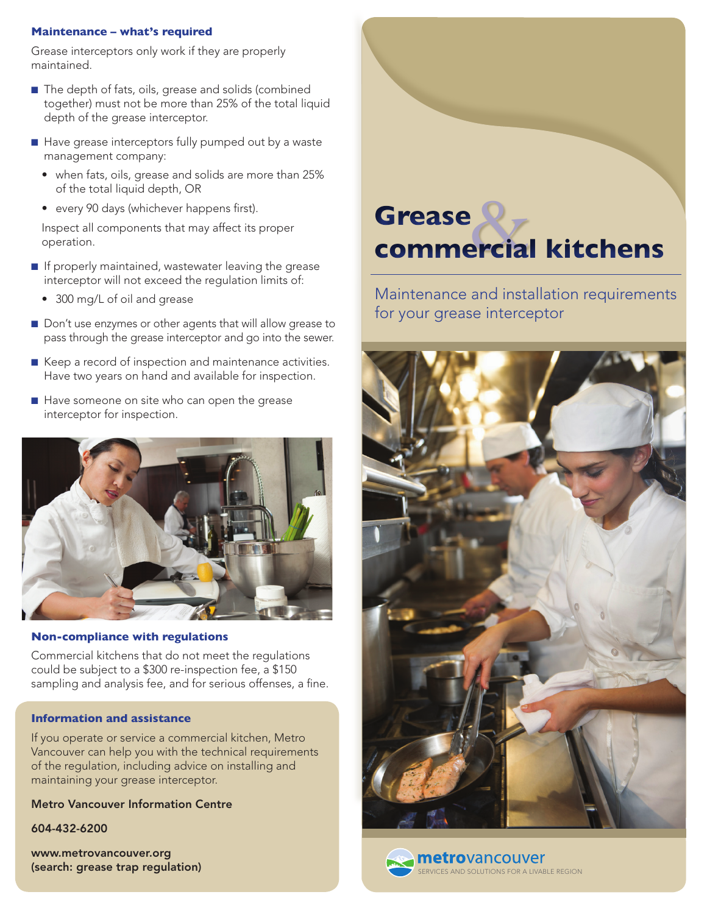## **Maintenance – what's required**

Grease interceptors only work if they are properly maintained.

- The depth of fats, oils, grease and solids (combined together) must not be more than 25% of the total liquid depth of the grease interceptor.
- Have grease interceptors fully pumped out by a waste management company:
	- when fats, oils, grease and solids are more than 25% of the total liquid depth, OR
	- every 90 days (whichever happens first).

Inspect all components that may affect its proper operation.

- If properly maintained, wastewater leaving the grease interceptor will not exceed the regulation limits of:
	- 300 mg/L of oil and grease
- Don't use enzymes or other agents that will allow grease to pass through the grease interceptor and go into the sewer.
- Keep a record of inspection and maintenance activities. Have two years on hand and available for inspection.
- Have someone on site who can open the grease interceptor for inspection.



## **Non-compliance with regulations**

Commercial kitchens that do not meet the regulations could be subject to a \$300 re-inspection fee, a \$150 sampling and analysis fee, and for serious offenses, a fine.

# **Information and assistance**

If you operate or service a commercial kitchen, Metro Vancouver can help you with the technical requirements of the regulation, including advice on installing and maintaining your grease interceptor.

Metro Vancouver Information Centre

604-432-6200

www.metrovancouver.org (search: grease trap regulation)



Maintenance and installation requirements for your grease interceptor





**metro**vancouver ERVICES AND SOLUTIONS FOR A LIVABLE REGION